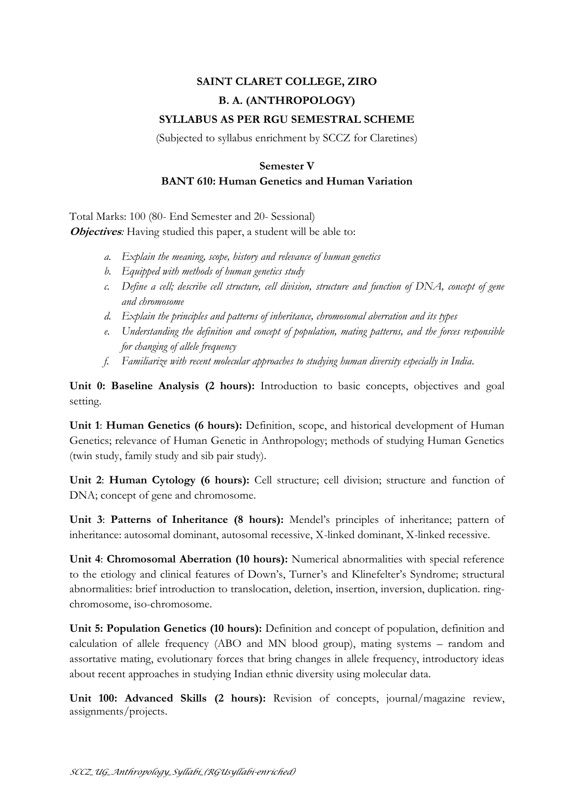## **SAINT CLARET COLLEGE, ZIRO B. A. (ANTHROPOLOGY) SYLLABUS AS PER RGU SEMESTRAL SCHEME**

(Subjected to syllabus enrichment by SCCZ for Claretines)

## **Semester V BANT 610: Human Genetics and Human Variation**

Total Marks: 100 (80- End Semester and 20- Sessional) *Objectives*: Having studied this paper, a student will be able to:

- *a. Explain the meaning, scope, history and relevance of human genetics*
- *b. Equipped with methods of human genetics study*
- *c. Define a cell; describe cell structure, cell division, structure and function of DNA, concept of gene and chromosome*
- *d. Explain the principles and patterns of inheritance, chromosomal aberration and its types*
- *e. Understanding the definition and concept of population, mating patterns, and the forces responsible for changing of allele frequency*
- *f. Familiarize with recent molecular approaches to studying human diversity especially in India.*

**Unit 0: Baseline Analysis (2 hours):** Introduction to basic concepts, objectives and goal setting.

**Unit 1**: **Human Genetics (6 hours):** Definition, scope, and historical development of Human Genetics; relevance of Human Genetic in Anthropology; methods of studying Human Genetics (twin study, family study and sib pair study).

**Unit 2**: **Human Cytology (6 hours):** Cell structure; cell division; structure and function of DNA; concept of gene and chromosome.

**Unit 3**: **Patterns of Inheritance (8 hours):** Mendel's principles of inheritance; pattern of inheritance: autosomal dominant, autosomal recessive, X-linked dominant, X-linked recessive.

**Unit 4**: **Chromosomal Aberration (10 hours):** Numerical abnormalities with special reference to the etiology and clinical features of Down's, Turner's and Klinefelter's Syndrome; structural abnormalities: brief introduction to translocation, deletion, insertion, inversion, duplication. ringchromosome, iso-chromosome.

**Unit 5: Population Genetics (10 hours):** Definition and concept of population, definition and calculation of allele frequency (ABO and MN blood group), mating systems – random and assortative mating, evolutionary forces that bring changes in allele frequency, introductory ideas about recent approaches in studying Indian ethnic diversity using molecular data.

**Unit 100: Advanced Skills (2 hours):** Revision of concepts, journal/magazine review, assignments/projects.